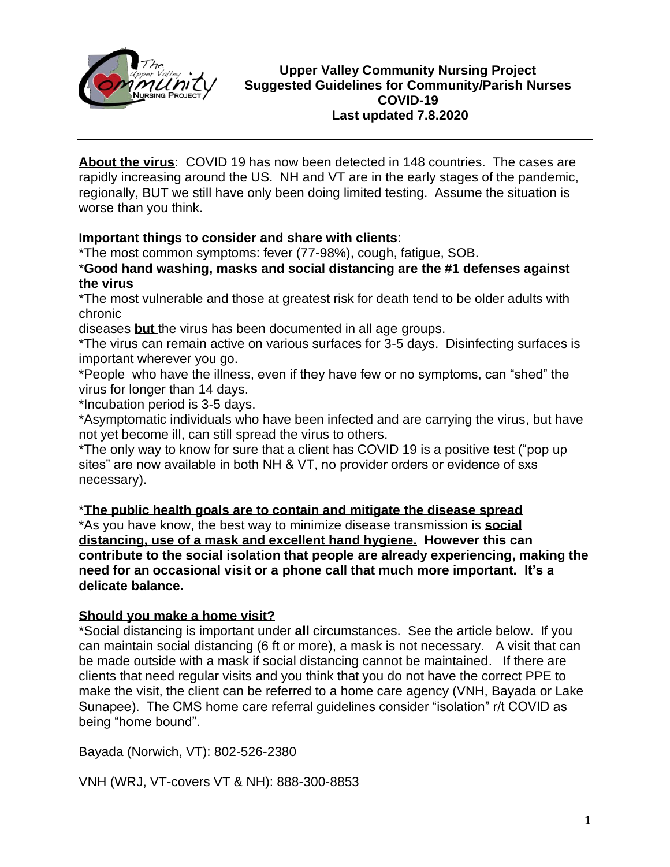

#### **Upper Valley Community Nursing Project Suggested Guidelines for Community/Parish Nurses COVID-19 Last updated 7.8.2020**

**About the virus**: COVID 19 has now been detected in 148 countries. The cases are rapidly increasing around the US. NH and VT are in the early stages of the pandemic, regionally, BUT we still have only been doing limited testing. Assume the situation is worse than you think.

## **Important things to consider and share with clients**:

\*The most common symptoms: fever (77-98%), cough, fatigue, SOB.

\***Good hand washing, masks and social distancing are the #1 defenses against the virus**

\*The most vulnerable and those at greatest risk for death tend to be older adults with chronic

diseases **but** the virus has been documented in all age groups.

\*The virus can remain active on various surfaces for 3-5 days. Disinfecting surfaces is important wherever you go.

\*People who have the illness, even if they have few or no symptoms, can "shed" the virus for longer than 14 days.

\*Incubation period is 3-5 days.

\*Asymptomatic individuals who have been infected and are carrying the virus, but have not yet become ill, can still spread the virus to others.

\*The only way to know for sure that a client has COVID 19 is a positive test ("pop up sites" are now available in both NH & VT, no provider orders or evidence of sxs necessary).

# \***The public health goals are to contain and mitigate the disease spread**

\*As you have know, the best way to minimize disease transmission is **social distancing, use of a mask and excellent hand hygiene. However this can contribute to the social isolation that people are already experiencing, making the need for an occasional visit or a phone call that much more important. It's a delicate balance.**

#### **Should you make a home visit?**

\*Social distancing is important under **all** circumstances. See the article below. If you can maintain social distancing (6 ft or more), a mask is not necessary. A visit that can be made outside with a mask if social distancing cannot be maintained. If there are clients that need regular visits and you think that you do not have the correct PPE to make the visit, the client can be referred to a home care agency (VNH, Bayada or Lake Sunapee). The CMS home care referral guidelines consider "isolation" r/t COVID as being "home bound".

Bayada (Norwich, VT): 802-526-2380

VNH (WRJ, VT-covers VT & NH): 888-300-8853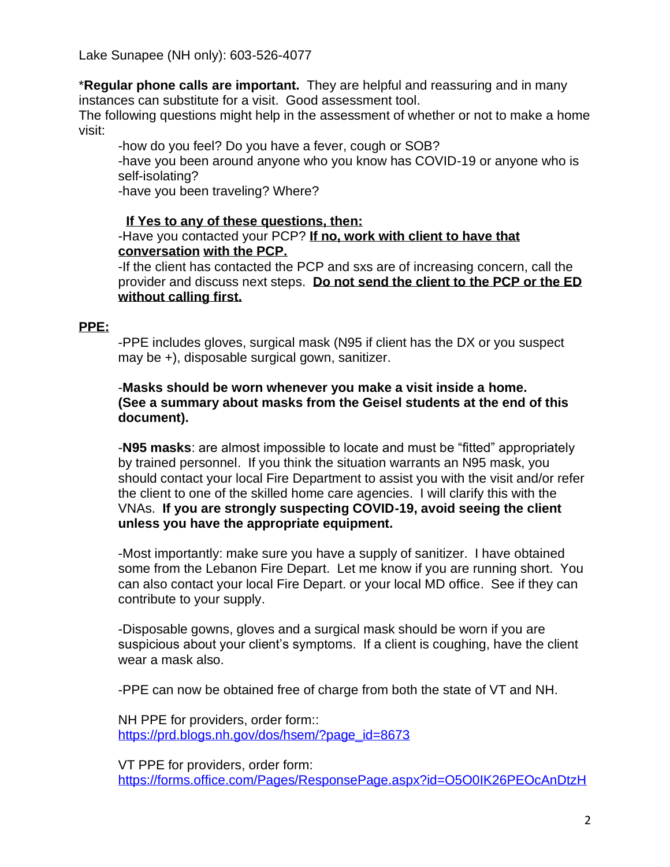Lake Sunapee (NH only): 603-526-4077

\***Regular phone calls are important.** They are helpful and reassuring and in many instances can substitute for a visit. Good assessment tool.

The following questions might help in the assessment of whether or not to make a home visit:

-how do you feel? Do you have a fever, cough or SOB?

-have you been around anyone who you know has COVID-19 or anyone who is self-isolating?

-have you been traveling? Where?

#### **If Yes to any of these questions, then:**

#### -Have you contacted your PCP? **If no, work with client to have that conversation with the PCP.**

-If the client has contacted the PCP and sxs are of increasing concern, call the provider and discuss next steps. **Do not send the client to the PCP or the ED without calling first.**

#### **PPE:**

-PPE includes gloves, surgical mask (N95 if client has the DX or you suspect may be +), disposable surgical gown, sanitizer.

#### -**Masks should be worn whenever you make a visit inside a home. (See a summary about masks from the Geisel students at the end of this document).**

-**N95 masks**: are almost impossible to locate and must be "fitted" appropriately by trained personnel. If you think the situation warrants an N95 mask, you should contact your local Fire Department to assist you with the visit and/or refer the client to one of the skilled home care agencies. I will clarify this with the VNAs. **If you are strongly suspecting COVID-19, avoid seeing the client unless you have the appropriate equipment.**

-Most importantly: make sure you have a supply of sanitizer. I have obtained some from the Lebanon Fire Depart. Let me know if you are running short. You can also contact your local Fire Depart. or your local MD office. See if they can contribute to your supply.

-Disposable gowns, gloves and a surgical mask should be worn if you are suspicious about your client's symptoms. If a client is coughing, have the client wear a mask also.

-PPE can now be obtained free of charge from both the state of VT and NH.

NH PPE for providers, order form:: [https://prd.blogs.nh.gov/dos/hsem/?page\\_id=8673](https://prd.blogs.nh.gov/dos/hsem/?page_id=8673)

VT PPE for providers, order form: [https://forms.office.com/Pages/ResponsePage.aspx?id=O5O0IK26PEOcAnDtzH](https://forms.office.com/Pages/ResponsePage.aspx?id=O5O0IK26PEOcAnDtzHVZxnYHsES1qh9Hs2EGYmwc2tBURDVPSDJDS1hUTzdJMFIxVDZHQ1JHS1cxViQlQCN0PWcu)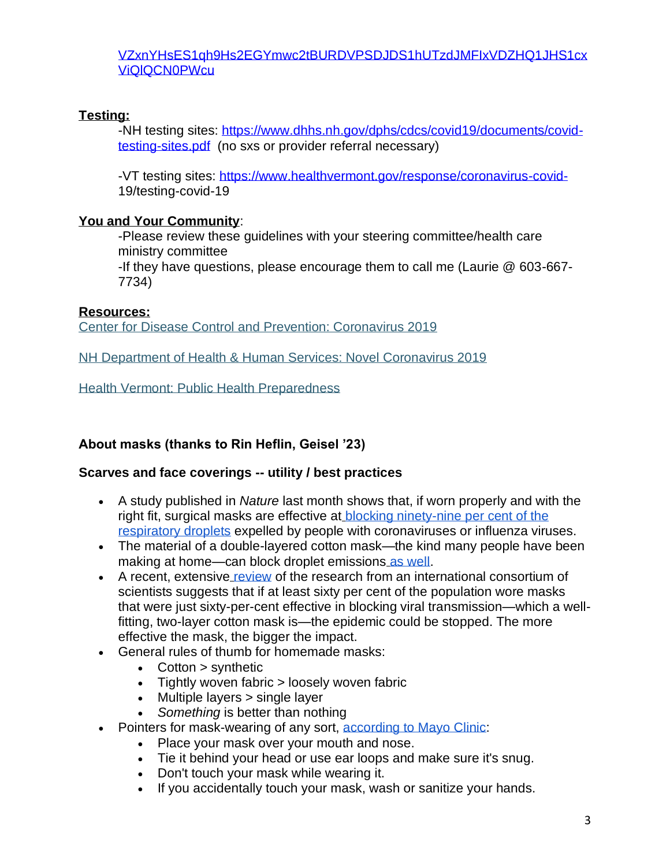#### [VZxnYHsES1qh9Hs2EGYmwc2tBURDVPSDJDS1hUTzdJMFIxVDZHQ1JHS1cx](https://forms.office.com/Pages/ResponsePage.aspx?id=O5O0IK26PEOcAnDtzHVZxnYHsES1qh9Hs2EGYmwc2tBURDVPSDJDS1hUTzdJMFIxVDZHQ1JHS1cxViQlQCN0PWcu) [ViQlQCN0PWcu](https://forms.office.com/Pages/ResponsePage.aspx?id=O5O0IK26PEOcAnDtzHVZxnYHsES1qh9Hs2EGYmwc2tBURDVPSDJDS1hUTzdJMFIxVDZHQ1JHS1cxViQlQCN0PWcu)

## **Testing:**

-NH testing sites: [https://www.dhhs.nh.gov/dphs/cdcs/covid19/documents/covid](https://www.dhhs.nh.gov/dphs/cdcs/covid19/documents/covid-testing-sites.pdf)[testing-sites.pdf](https://www.dhhs.nh.gov/dphs/cdcs/covid19/documents/covid-testing-sites.pdf) (no sxs or provider referral necessary)

-VT testing sites:<https://www.healthvermont.gov/response/coronavirus-covid->19/testing-covid-19

## **You and Your Community**:

-Please review these guidelines with your steering committee/health care ministry committee

-If they have questions, please encourage them to call me (Laurie @ 603-667- 7734)

## **Resources:**

[Center for Disease Control and Prevention: Coronavirus 2019](https://www.cdc.gov/coronavirus/2019-ncov/index.html)

[NH Department of Health & Human Services: Novel Coronavirus 2019](https://www.dhhs.nh.gov/dphs/cdcs/2019-ncov.htm)

[Health Vermont: Public Health Preparedness](https://www.healthvermont.gov/emergency/prepare)

# **About masks (thanks to Rin Heflin, Geisel '23)**

# **Scarves and face coverings -- utility / best practices**

- A study published in *Nature* last month shows that, if worn properly and with the right fit, surgical masks are effective at [blocking ninety-nine per cent of the](https://www.nature.com/articles/s41591-020-0843-2)  [respiratory droplets](https://www.nature.com/articles/s41591-020-0843-2) expelled by people with coronaviruses or influenza viruses.
- The material of a double-layered cotton mask—the kind many people have been making at home—can block droplet emissions [as well.](https://www.preprints.org/manuscript/202004.0203/v1)
- A recent, extensive [review](https://www.preprints.org/manuscript/202004.0203/v1) of the research from an international consortium of scientists suggests that if at least sixty per cent of the population wore masks that were just sixty-per-cent effective in blocking viral transmission—which a wellfitting, two-layer cotton mask is—the epidemic could be stopped. The more effective the mask, the bigger the impact.
- General rules of thumb for homemade masks:
	- Cotton > synthetic
	- Tightly woven fabric > loosely woven fabric
	- Multiple layers > single layer
	- *Something* is better than nothing
- Pointers for mask-wearing of any sort, [according to Mayo Clinic:](https://www.mayoclinic.org/diseases-conditions/coronavirus/in-depth/coronavirus-mask/art-20485449)
	- Place your mask over your mouth and nose.
	- Tie it behind your head or use ear loops and make sure it's snug.
	- Don't touch your mask while wearing it.
	- If you accidentally touch your mask, wash or sanitize your hands.